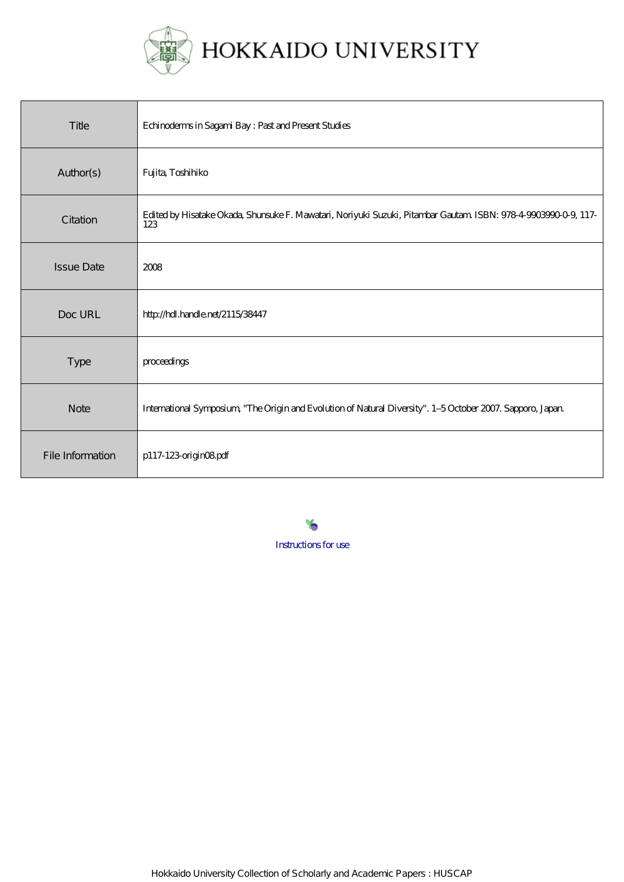

# HOKKAIDO UNIVERSITY

| Title             | Echinodems in Sagami Bay: Past and Present Studies                                                                    |
|-------------------|-----------------------------------------------------------------------------------------------------------------------|
| Author(s)         | Fujita, Toshihiko                                                                                                     |
| Citation          | Edited by Hisatake Okada, Shunsuke F. Mawatari, Noriyuki Suzuki, Pitambar Gautam ISBN: 978-4-9003990-0-9, 117-<br>123 |
| <b>Issue Date</b> | 2008                                                                                                                  |
| Doc URL           | http://hdl.handle.net/2115/38447                                                                                      |
| <b>Type</b>       | proceedings                                                                                                           |
| <b>Note</b>       | International Symposium, "The Origin and Evolution of Natural Diversity". 1-5 October 2007. Sapporo, Japan.           |
| File Information  | p117-123-originO8pdf                                                                                                  |

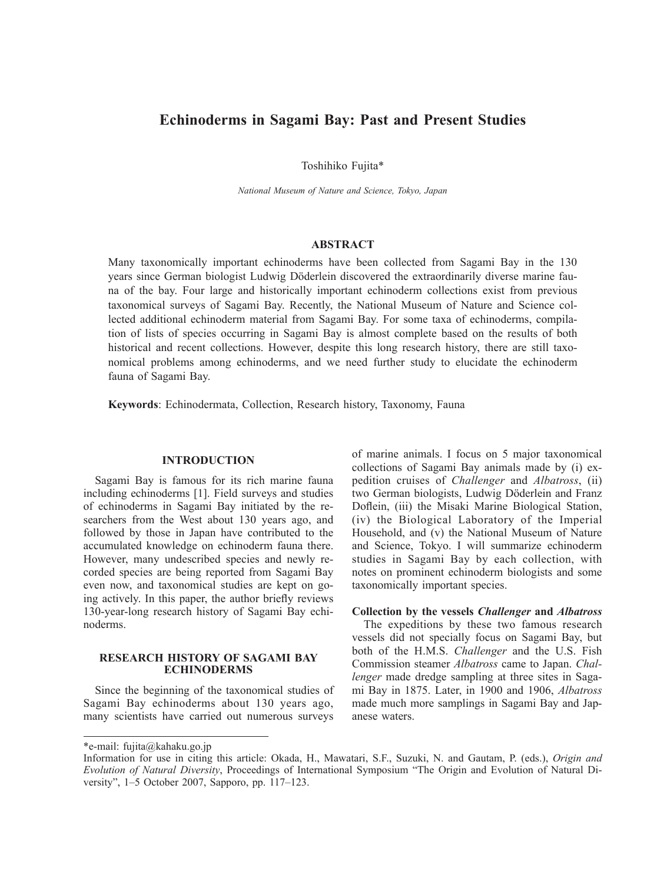# **Echinoderms in Sagami Bay: Past and Present Studies**

Toshihiko Fujita\*

*National Museum of Nature and Science, Tokyo, Japan*

# **ABSTRACT**

Many taxonomically important echinoderms have been collected from Sagami Bay in the 130 years since German biologist Ludwig Döderlein discovered the extraordinarily diverse marine fauna of the bay. Four large and historically important echinoderm collections exist from previous taxonomical surveys of Sagami Bay. Recently, the National Museum of Nature and Science collected additional echinoderm material from Sagami Bay. For some taxa of echinoderms, compilation of lists of species occurring in Sagami Bay is almost complete based on the results of both historical and recent collections. However, despite this long research history, there are still taxonomical problems among echinoderms, and we need further study to elucidate the echinoderm fauna of Sagami Bay.

**Keywords**: Echinodermata, Collection, Research history, Taxonomy, Fauna

# **INTRODUCTION**

Sagami Bay is famous for its rich marine fauna including echinoderms [1]. Field surveys and studies of echinoderms in Sagami Bay initiated by the researchers from the West about 130 years ago, and followed by those in Japan have contributed to the accumulated knowledge on echinoderm fauna there. However, many undescribed species and newly recorded species are being reported from Sagami Bay even now, and taxonomical studies are kept on going actively. In this paper, the author briefly reviews 130-year-long research history of Sagami Bay echinoderms.

# **RESEARCH HISTORY OF SAGAMI BAY ECHINODERMS**

Since the beginning of the taxonomical studies of Sagami Bay echinoderms about 130 years ago, many scientists have carried out numerous surveys of marine animals. I focus on 5 major taxonomical collections of Sagami Bay animals made by (i) expedition cruises of *Challenger* and *Albatross*, (ii) two German biologists, Ludwig Döderlein and Franz Doflein, (iii) the Misaki Marine Biological Station, (iv) the Biological Laboratory of the Imperial Household, and (v) the National Museum of Nature and Science, Tokyo. I will summarize echinoderm studies in Sagami Bay by each collection, with notes on prominent echinoderm biologists and some taxonomically important species.

# **Collection by the vessels** *Challenger* **and** *Albatross*

The expeditions by these two famous research vessels did not specially focus on Sagami Bay, but both of the H.M.S. *Challenger* and the U.S. Fish Commission steamer *Albatross* came to Japan. *Challenger* made dredge sampling at three sites in Sagami Bay in 1875. Later, in 1900 and 1906, *Albatross* made much more samplings in Sagami Bay and Japanese waters.

<sup>\*</sup>e-mail: fujita@kahaku.go.jp

Information for use in citing this article: Okada, H., Mawatari, S.F., Suzuki, N. and Gautam, P. (eds.), *Origin and Evolution of Natural Diversity*, Proceedings of International Symposium "The Origin and Evolution of Natural Diversity", 1–5 October 2007, Sapporo, pp. 117–123.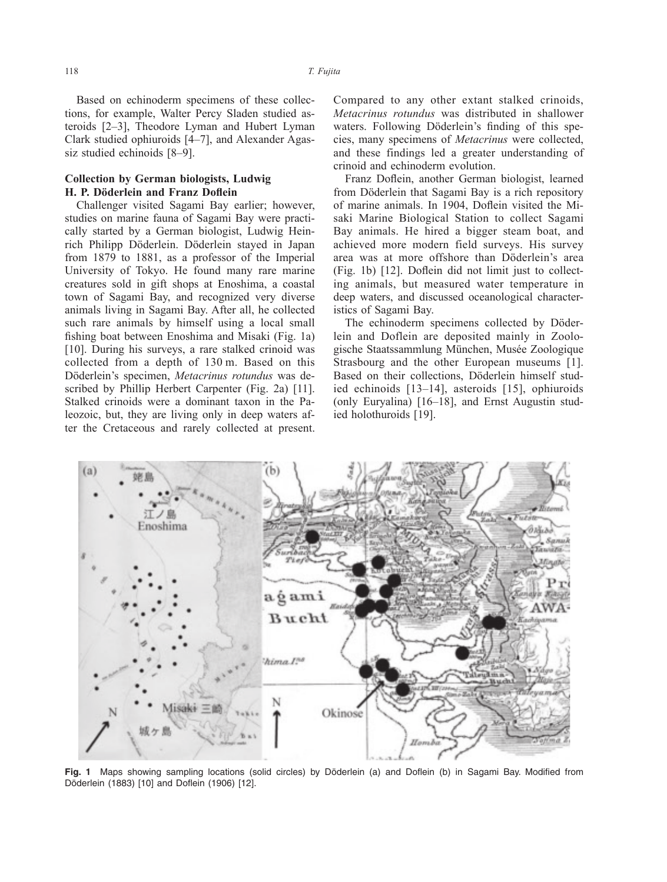Based on echinoderm specimens of these collections, for example, Walter Percy Sladen studied asteroids [2–3], Theodore Lyman and Hubert Lyman Clark studied ophiuroids [4–7], and Alexander Agassiz studied echinoids [8–9].

# **Collection by German biologists, Ludwig H. P. Döderlein and Franz Doflein**

Challenger visited Sagami Bay earlier; however, studies on marine fauna of Sagami Bay were practically started by a German biologist, Ludwig Heinrich Philipp Döderlein. Döderlein stayed in Japan from 1879 to 1881, as a professor of the Imperial University of Tokyo. He found many rare marine creatures sold in gift shops at Enoshima, a coastal town of Sagami Bay, and recognized very diverse animals living in Sagami Bay. After all, he collected such rare animals by himself using a local small fishing boat between Enoshima and Misaki (Fig. 1a) [10]. During his surveys, a rare stalked crinoid was collected from a depth of 130 m. Based on this Döderlein's specimen, *Metacrinus rotundus* was described by Phillip Herbert Carpenter (Fig. 2a) [11]. Stalked crinoids were a dominant taxon in the Paleozoic, but, they are living only in deep waters after the Cretaceous and rarely collected at present.

Compared to any other extant stalked crinoids, *Metacrinus rotundus* was distributed in shallower waters. Following Döderlein's finding of this species, many specimens of *Metacrinus* were collected, and these findings led a greater understanding of crinoid and echinoderm evolution.

Franz Doflein, another German biologist, learned from Döderlein that Sagami Bay is a rich repository of marine animals. In 1904, Doflein visited the Misaki Marine Biological Station to collect Sagami Bay animals. He hired a bigger steam boat, and achieved more modern field surveys. His survey area was at more offshore than Döderlein's area (Fig. 1b) [12]. Doflein did not limit just to collecting animals, but measured water temperature in deep waters, and discussed oceanological characteristics of Sagami Bay.

The echinoderm specimens collected by Döderlein and Doflein are deposited mainly in Zoologische Staatssammlung München, Musée Zoologique Strasbourg and the other European museums [1]. Based on their collections, Döderlein himself studied echinoids [13–14], asteroids [15], ophiuroids (only Euryalina) [16–18], and Ernst Augustin studied holothuroids [19].



**Fig. 1** Maps showing sampling locations (solid circles) by Döderlein (a) and Doflein (b) in Sagami Bay. Modified from Döderlein (1883) [10] and Doflein (1906) [12].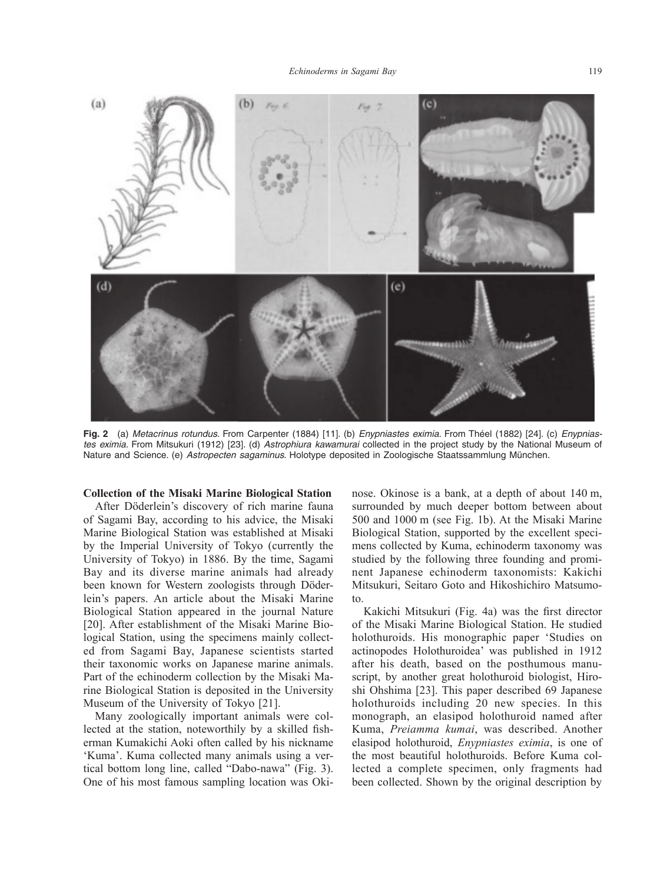

**Fig. 2** (a) *Metacrinus rotundus*. From Carpenter (1884) [11]. (b) *Enypniastes eximia*. From Théel (1882) [24]. (c) *Enypniastes eximia*. From Mitsukuri (1912) [23]. (d) *Astrophiura kawamurai* collected in the project study by the National Museum of Nature and Science. (e) *Astropecten sagaminus*. Holotype deposited in Zoologische Staatssammlung München.

#### **Collection of the Misaki Marine Biological Station**

After Döderlein's discovery of rich marine fauna of Sagami Bay, according to his advice, the Misaki Marine Biological Station was established at Misaki by the Imperial University of Tokyo (currently the University of Tokyo) in 1886. By the time, Sagami Bay and its diverse marine animals had already been known for Western zoologists through Döderlein's papers. An article about the Misaki Marine Biological Station appeared in the journal Nature [20]. After establishment of the Misaki Marine Biological Station, using the specimens mainly collected from Sagami Bay, Japanese scientists started their taxonomic works on Japanese marine animals. Part of the echinoderm collection by the Misaki Marine Biological Station is deposited in the University Museum of the University of Tokyo [21].

Many zoologically important animals were collected at the station, noteworthily by a skilled fisherman Kumakichi Aoki often called by his nickname 'Kuma'. Kuma collected many animals using a vertical bottom long line, called "Dabo-nawa" (Fig. 3). One of his most famous sampling location was Okinose. Okinose is a bank, at a depth of about 140 m, surrounded by much deeper bottom between about 500 and 1000 m (see Fig. 1b). At the Misaki Marine Biological Station, supported by the excellent specimens collected by Kuma, echinoderm taxonomy was studied by the following three founding and prominent Japanese echinoderm taxonomists: Kakichi Mitsukuri, Seitaro Goto and Hikoshichiro Matsumoto.

Kakichi Mitsukuri (Fig. 4a) was the first director of the Misaki Marine Biological Station. He studied holothuroids. His monographic paper 'Studies on actinopodes Holothuroidea' was published in 1912 after his death, based on the posthumous manuscript, by another great holothuroid biologist, Hiroshi Ohshima [23]. This paper described 69 Japanese holothuroids including 20 new species. In this monograph, an elasipod holothuroid named after Kuma, *Preiamma kumai*, was described. Another elasipod holothuroid, *Enypniastes eximia*, is one of the most beautiful holothuroids. Before Kuma collected a complete specimen, only fragments had been collected. Shown by the original description by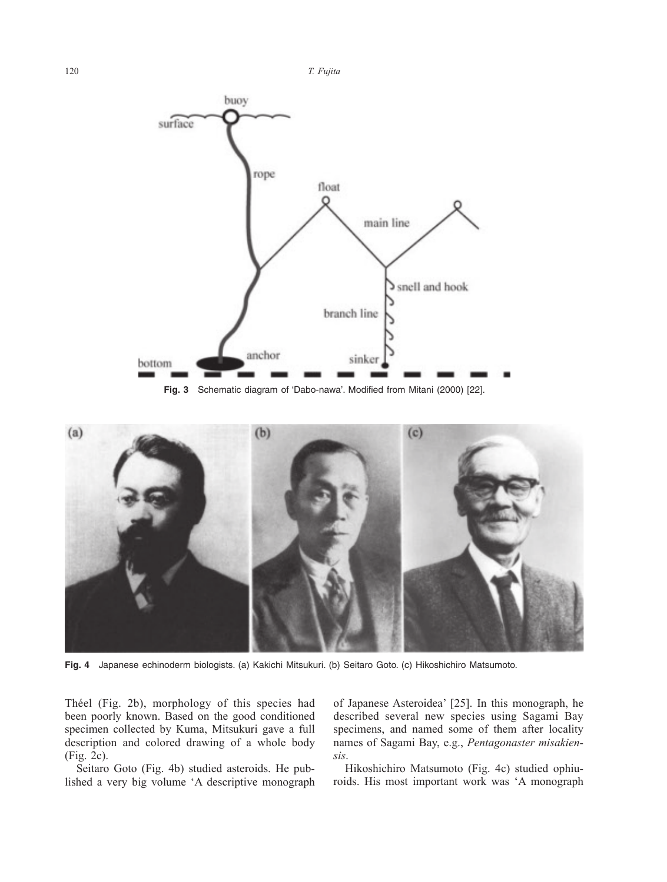120 *T. Fujita*



**Fig. 3** Schematic diagram of 'Dabo-nawa'. Modified from Mitani (2000) [22].



**Fig. 4** Japanese echinoderm biologists. (a) Kakichi Mitsukuri. (b) Seitaro Goto. (c) Hikoshichiro Matsumoto.

Théel (Fig. 2b), morphology of this species had been poorly known. Based on the good conditioned specimen collected by Kuma, Mitsukuri gave a full description and colored drawing of a whole body (Fig. 2c).

Seitaro Goto (Fig. 4b) studied asteroids. He published a very big volume 'A descriptive monograph

of Japanese Asteroidea' [25]. In this monograph, he described several new species using Sagami Bay specimens, and named some of them after locality names of Sagami Bay, e.g., *Pentagonaster misakiensis*.

Hikoshichiro Matsumoto (Fig. 4c) studied ophiuroids. His most important work was 'A monograph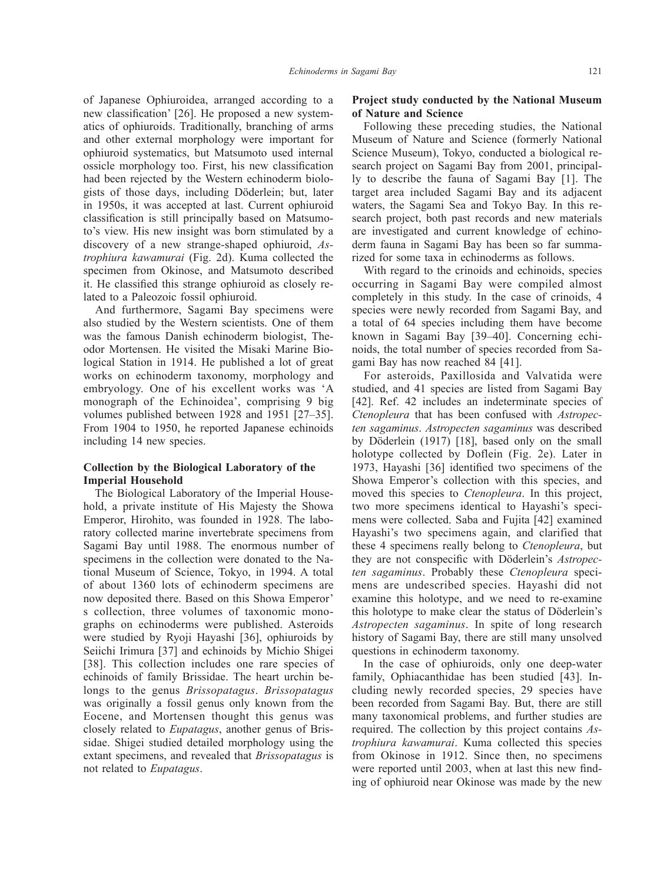of Japanese Ophiuroidea, arranged according to a new classification' [26]. He proposed a new systematics of ophiuroids. Traditionally, branching of arms and other external morphology were important for ophiuroid systematics, but Matsumoto used internal ossicle morphology too. First, his new classification had been rejected by the Western echinoderm biologists of those days, including Döderlein; but, later in 1950s, it was accepted at last. Current ophiuroid classification is still principally based on Matsumoto's view. His new insight was born stimulated by a discovery of a new strange-shaped ophiuroid, *Astrophiura kawamurai* (Fig. 2d). Kuma collected the specimen from Okinose, and Matsumoto described it. He classified this strange ophiuroid as closely related to a Paleozoic fossil ophiuroid.

And furthermore, Sagami Bay specimens were also studied by the Western scientists. One of them was the famous Danish echinoderm biologist, Theodor Mortensen. He visited the Misaki Marine Biological Station in 1914. He published a lot of great works on echinoderm taxonomy, morphology and embryology. One of his excellent works was 'A monograph of the Echinoidea', comprising 9 big volumes published between 1928 and 1951 [27–35]. From 1904 to 1950, he reported Japanese echinoids including 14 new species.

# **Collection by the Biological Laboratory of the Imperial Household**

The Biological Laboratory of the Imperial Household, a private institute of His Majesty the Showa Emperor, Hirohito, was founded in 1928. The laboratory collected marine invertebrate specimens from Sagami Bay until 1988. The enormous number of specimens in the collection were donated to the National Museum of Science, Tokyo, in 1994. A total of about 1360 lots of echinoderm specimens are now deposited there. Based on this Showa Emperor' s collection, three volumes of taxonomic monographs on echinoderms were published. Asteroids were studied by Ryoji Hayashi [36], ophiuroids by Seiichi Irimura [37] and echinoids by Michio Shigei [38]. This collection includes one rare species of echinoids of family Brissidae. The heart urchin belongs to the genus *Brissopatagus*. *Brissopatagus* was originally a fossil genus only known from the Eocene, and Mortensen thought this genus was closely related to *Eupatagus*, another genus of Brissidae. Shigei studied detailed morphology using the extant specimens, and revealed that *Brissopatagus* is not related to *Eupatagus*.

# **Project study conducted by the National Museum of Nature and Science**

Following these preceding studies, the National Museum of Nature and Science (formerly National Science Museum), Tokyo, conducted a biological research project on Sagami Bay from 2001, principally to describe the fauna of Sagami Bay [1]. The target area included Sagami Bay and its adjacent waters, the Sagami Sea and Tokyo Bay. In this research project, both past records and new materials are investigated and current knowledge of echinoderm fauna in Sagami Bay has been so far summarized for some taxa in echinoderms as follows.

With regard to the crinoids and echinoids, species occurring in Sagami Bay were compiled almost completely in this study. In the case of crinoids, 4 species were newly recorded from Sagami Bay, and a total of 64 species including them have become known in Sagami Bay [39–40]. Concerning echinoids, the total number of species recorded from Sagami Bay has now reached 84 [41].

For asteroids, Paxillosida and Valvatida were studied, and 41 species are listed from Sagami Bay [42]. Ref. 42 includes an indeterminate species of *Ctenopleura* that has been confused with *Astropecten sagaminus*. *Astropecten sagaminus* was described by Döderlein (1917) [18], based only on the small holotype collected by Doflein (Fig. 2e). Later in 1973, Hayashi [36] identified two specimens of the Showa Emperor's collection with this species, and moved this species to *Ctenopleura*. In this project, two more specimens identical to Hayashi's specimens were collected. Saba and Fujita [42] examined Hayashi's two specimens again, and clarified that these 4 specimens really belong to *Ctenopleura*, but they are not conspecific with Döderlein's *Astropecten sagaminus*. Probably these *Ctenopleura* specimens are undescribed species. Hayashi did not examine this holotype, and we need to re-examine this holotype to make clear the status of Döderlein's *Astropecten sagaminus*. In spite of long research history of Sagami Bay, there are still many unsolved questions in echinoderm taxonomy.

In the case of ophiuroids, only one deep-water family, Ophiacanthidae has been studied [43]. Including newly recorded species, 29 species have been recorded from Sagami Bay. But, there are still many taxonomical problems, and further studies are required. The collection by this project contains *Astrophiura kawamurai*. Kuma collected this species from Okinose in 1912. Since then, no specimens were reported until 2003, when at last this new finding of ophiuroid near Okinose was made by the new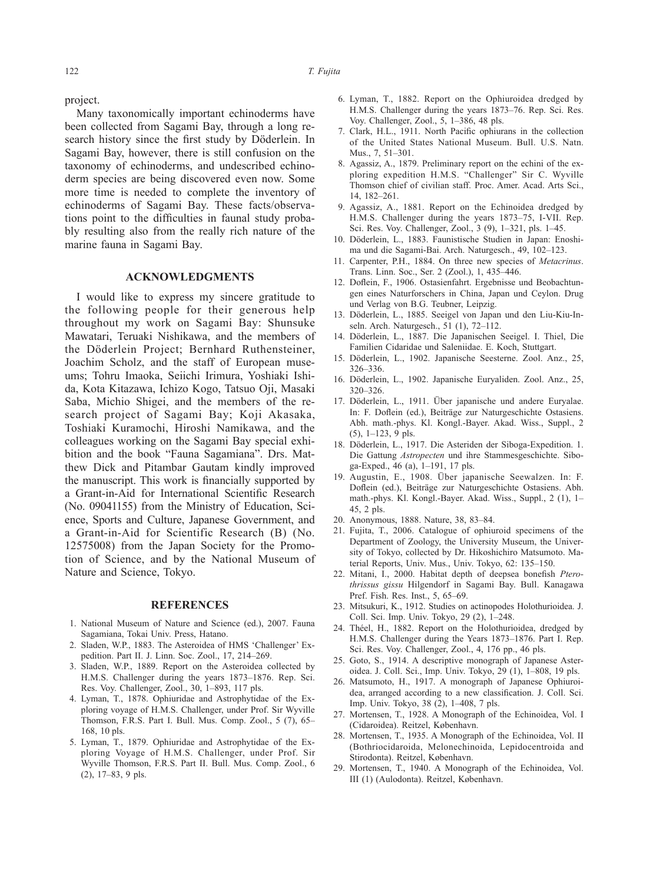project.

Many taxonomically important echinoderms have been collected from Sagami Bay, through a long research history since the first study by Döderlein. In Sagami Bay, however, there is still confusion on the taxonomy of echinoderms, and undescribed echinoderm species are being discovered even now. Some more time is needed to complete the inventory of echinoderms of Sagami Bay. These facts/observations point to the difficulties in faunal study probably resulting also from the really rich nature of the marine fauna in Sagami Bay.

#### **ACKNOWLEDGMENTS**

I would like to express my sincere gratitude to the following people for their generous help throughout my work on Sagami Bay: Shunsuke Mawatari, Teruaki Nishikawa, and the members of the Döderlein Project; Bernhard Ruthensteiner, Joachim Scholz, and the staff of European museums; Tohru Imaoka, Seiichi Irimura, Yoshiaki Ishida, Kota Kitazawa, Ichizo Kogo, Tatsuo Oji, Masaki Saba, Michio Shigei, and the members of the research project of Sagami Bay; Koji Akasaka, Toshiaki Kuramochi, Hiroshi Namikawa, and the colleagues working on the Sagami Bay special exhibition and the book "Fauna Sagamiana". Drs. Matthew Dick and Pitambar Gautam kindly improved the manuscript. This work is financially supported by a Grant-in-Aid for International Scientific Research (No. 09041155) from the Ministry of Education, Science, Sports and Culture, Japanese Government, and a Grant-in-Aid for Scientific Research (B) (No. 12575008) from the Japan Society for the Promotion of Science, and by the National Museum of Nature and Science, Tokyo.

# **REFERENCES**

- 1. National Museum of Nature and Science (ed.), 2007. Fauna Sagamiana, Tokai Univ. Press, Hatano.
- 2. Sladen, W.P., 1883. The Asteroidea of HMS 'Challenger' Expedition. Part II. J. Linn. Soc. Zool., 17, 214–269.
- 3. Sladen, W.P., 1889. Report on the Asteroidea collected by H.M.S. Challenger during the years 1873–1876. Rep. Sci. Res. Voy. Challenger, Zool., 30, 1–893, 117 pls.
- 4. Lyman, T., 1878. Ophiuridae and Astrophytidae of the Exploring voyage of H.M.S. Challenger, under Prof. Sir Wyville Thomson, F.R.S. Part I. Bull. Mus. Comp. Zool., 5 (7), 65– 168, 10 pls.
- 5. Lyman, T., 1879. Ophiuridae and Astrophytidae of the Exploring Voyage of H.M.S. Challenger, under Prof. Sir Wyville Thomson, F.R.S. Part II. Bull. Mus. Comp. Zool., 6 (2), 17–83, 9 pls.
- 6. Lyman, T., 1882. Report on the Ophiuroidea dredged by H.M.S. Challenger during the years 1873–76. Rep. Sci. Res. Voy. Challenger, Zool., 5, 1–386, 48 pls.
- 7. Clark, H.L., 1911. North Pacific ophiurans in the collection of the United States National Museum. Bull. U.S. Natn. Mus., 7, 51–301.
- 8. Agassiz, A., 1879. Preliminary report on the echini of the exploring expedition H.M.S. "Challenger" Sir C. Wyville Thomson chief of civilian staff. Proc. Amer. Acad. Arts Sci., 14, 182–261.
- 9. Agassiz, A., 1881. Report on the Echinoidea dredged by H.M.S. Challenger during the years 1873–75, I-VII. Rep. Sci. Res. Voy. Challenger, Zool., 3 (9), 1–321, pls. 1–45.
- 10. Döderlein, L., 1883. Faunistische Studien in Japan: Enoshima und die Sagami-Bai. Arch. Naturgesch., 49, 102–123.
- 11. Carpenter, P.H., 1884. On three new species of *Metacrinus*. Trans. Linn. Soc., Ser. 2 (Zool.), 1, 435–446.
- 12. Doflein, F., 1906. Ostasienfahrt. Ergebnisse und Beobachtungen eines Naturforschers in China, Japan und Ceylon. Drug und Verlag von B.G. Teubner, Leipzig.
- 13. Döderlein, L., 1885. Seeigel von Japan und den Liu-Kiu-Inseln. Arch. Naturgesch., 51 (1), 72–112.
- 14. Döderlein, L., 1887. Die Japanischen Seeigel. I. Thiel, Die Familien Cidaridae und Saleniidae. E. Koch, Stuttgart.
- 15. Döderlein, L., 1902. Japanische Seesterne. Zool. Anz., 25, 326–336.
- 16. Döderlein, L., 1902. Japanische Euryaliden. Zool. Anz., 25, 320–326.
- 17. Döderlein, L., 1911. Über japanische und andere Euryalae. In: F. Doflein (ed.), Beiträge zur Naturgeschichte Ostasiens. Abh. math.-phys. Kl. Kongl.-Bayer. Akad. Wiss., Suppl., 2 (5), 1–123, 9 pls.
- 18. Döderlein, L., 1917. Die Asteriden der Siboga-Expedition. 1. Die Gattung *Astropecten* und ihre Stammesgeschichte. Siboga-Exped., 46 (a), 1–191, 17 pls.
- 19. Augustin, E., 1908. Über japanische Seewalzen. In: F. Doflein (ed.), Beiträge zur Naturgeschichte Ostasiens. Abh. math.-phys. Kl. Kongl.-Bayer. Akad. Wiss., Suppl., 2 (1), 1– 45, 2 pls.
- 20. Anonymous, 1888. Nature, 38, 83–84.
- 21. Fujita, T., 2006. Catalogue of ophiuroid specimens of the Department of Zoology, the University Museum, the University of Tokyo, collected by Dr. Hikoshichiro Matsumoto. Material Reports, Univ. Mus., Univ. Tokyo, 62: 135–150.
- 22. Mitani, I., 2000. Habitat depth of deepsea bonefish *Pterothrissus gissu* Hilgendorf in Sagami Bay. Bull. Kanagawa Pref. Fish. Res. Inst., 5, 65–69.
- 23. Mitsukuri, K., 1912. Studies on actinopodes Holothurioidea. J. Coll. Sci. Imp. Univ. Tokyo, 29 (2), 1–248.
- 24. Théel, H., 1882. Report on the Holothurioidea, dredged by H.M.S. Challenger during the Years 1873–1876. Part I. Rep. Sci. Res. Voy. Challenger, Zool., 4, 176 pp., 46 pls.
- 25. Goto, S., 1914. A descriptive monograph of Japanese Asteroidea. J. Coll. Sci., Imp. Univ. Tokyo, 29 (1), 1–808, 19 pls.
- 26. Matsumoto, H., 1917. A monograph of Japanese Ophiuroidea, arranged according to a new classification. J. Coll. Sci. Imp. Univ. Tokyo, 38 (2), 1–408, 7 pls.
- 27. Mortensen, T., 1928. A Monograph of the Echinoidea, Vol. I (Cidaroidea). Reitzel, København.
- 28. Mortensen, T., 1935. A Monograph of the Echinoidea, Vol. II (Bothriocidaroida, Melonechinoida, Lepidocentroida and Stirodonta). Reitzel, København.
- 29. Mortensen, T., 1940. A Monograph of the Echinoidea, Vol. III (1) (Aulodonta). Reitzel, København.